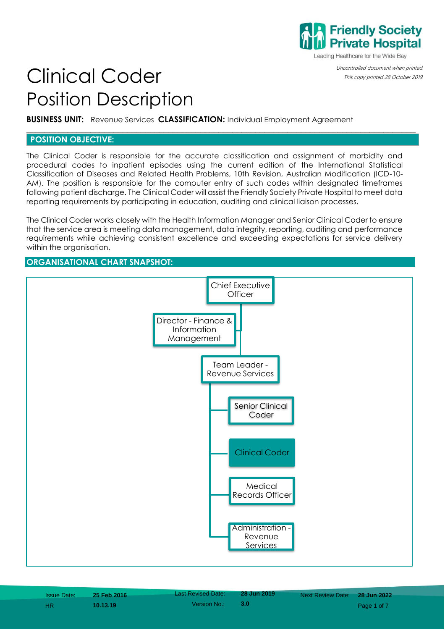

Leading Healthcare for the Wide Bay

Uncontrolled document when printed.

# Clinical Coder **Conder Computed 28 October 2019.** Position Description

**BUSINESS UNIT:** Revenue Services **CLASSIFICATION:** Individual Employment Agreement

## **POSITION OBJECTIVE:**

The Clinical Coder is responsible for the accurate classification and assignment of morbidity and procedural codes to inpatient episodes using the current edition of the International Statistical Classification of Diseases and Related Health Problems, 10th Revision, Australian Modification (ICD-10- AM). The position is responsible for the computer entry of such codes within designated timeframes following patient discharge. The Clinical Coder will assist the Friendly Society Private Hospital to meet data reporting requirements by participating in education, auditing and clinical liaison processes.

**\_\_\_\_\_\_\_\_\_\_\_\_\_\_\_\_\_\_\_\_\_\_\_\_\_\_\_\_\_\_\_\_\_\_\_\_\_\_\_\_\_\_\_\_\_\_\_\_\_\_\_\_\_\_\_\_\_\_\_\_\_\_\_\_\_\_\_\_\_\_\_\_\_\_\_\_\_\_\_\_\_\_\_\_\_**

The Clinical Coder works closely with the Health Information Manager and Senior Clinical Coder to ensure that the service area is meeting data management, data integrity, reporting, auditing and performance requirements while achieving consistent excellence and exceeding expectations for service delivery within the organisation.

## **ORGANISATIONAL CHART SNAPSHOT:**

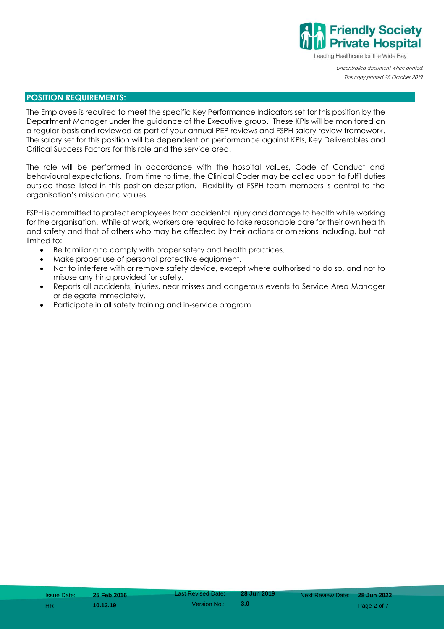

Leading Healthcare for the Wide Bay

Uncontrolled document when printed. This copy printed 28 October 2019.

## **POSITION REQUIREMENTS:**

The Employee is required to meet the specific Key Performance Indicators set for this position by the Department Manager under the guidance of the Executive group. These KPIs will be monitored on a regular basis and reviewed as part of your annual PEP reviews and FSPH salary review framework. The salary set for this position will be dependent on performance against KPIs, Key Deliverables and Critical Success Factors for this role and the service area.

The role will be performed in accordance with the hospital values, Code of Conduct and behavioural expectations. From time to time, the Clinical Coder may be called upon to fulfil duties outside those listed in this position description. Flexibility of FSPH team members is central to the organisation's mission and values.

FSPH is committed to protect employees from accidental injury and damage to health while working for the organisation. While at work, workers are required to take reasonable care for their own health and safety and that of others who may be affected by their actions or omissions including, but not limited to:

- Be familiar and comply with proper safety and health practices.
- Make proper use of personal protective equipment.
- Not to interfere with or remove safety device, except where authorised to do so, and not to misuse anything provided for safety.
- Reports all accidents, injuries, near misses and dangerous events to Service Area Manager or delegate immediately.
- Participate in all safety training and in-service program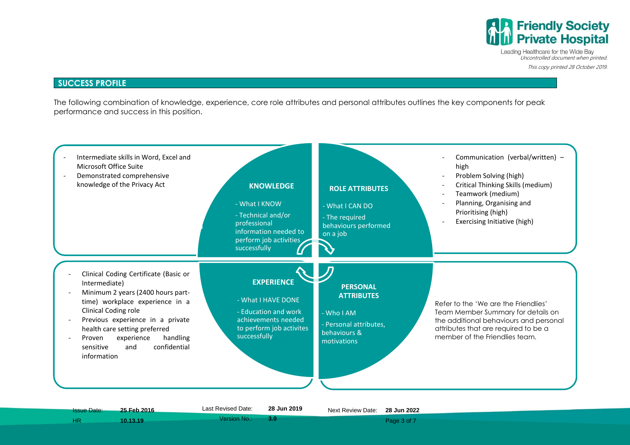

Leading Healthcare for the Wide Bay Uncontrolled document when printed. This copy printed 28 October 2019.

#### **SUCCESS PROFILE**

The following combination of knowledge, experience, core role attributes and personal attributes outlines the key components for peak performance and success in this position.

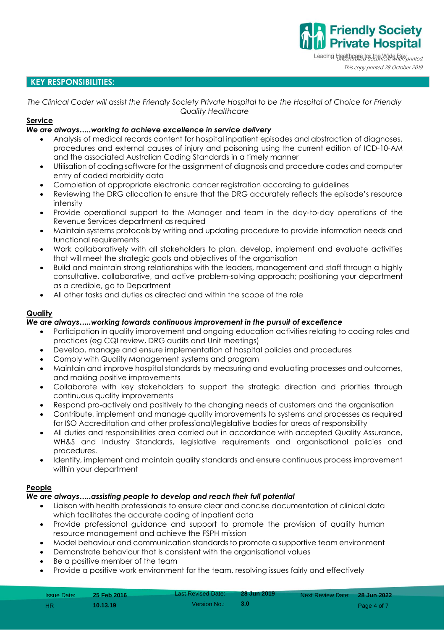Leading Healthcare for the Wide Bay printed. This copy printed 28 October 2019.

**Friendly Society<br>Private Hospital** 

## **KEY RESPONSIBILITIES:**

*The Clinical Coder will assist the Friendly Society Private Hospital to be the Hospital of Choice for Friendly Quality Healthcare*

#### **Service**

## *We are always…..working to achieve excellence in service delivery*

- Analysis of medical records content for hospital inpatient episodes and abstraction of diagnoses, procedures and external causes of injury and poisoning using the current edition of ICD-10-AM and the associated Australian Coding Standards in a timely manner
- Utilisation of coding software for the assignment of diagnosis and procedure codes and computer entry of coded morbidity data
- Completion of appropriate electronic cancer registration according to guidelines
- Reviewing the DRG allocation to ensure that the DRG accurately reflects the episode's resource intensity
- Provide operational support to the Manager and team in the day-to-day operations of the Revenue Services department as required
- Maintain systems protocols by writing and updating procedure to provide information needs and functional requirements
- Work collaboratively with all stakeholders to plan, develop, implement and evaluate activities that will meet the strategic goals and objectives of the organisation
- Build and maintain strong relationships with the leaders, management and staff through a highly consultative, collaborative, and active problem-solving approach; positioning your department as a credible, go to Department
- All other tasks and duties as directed and within the scope of the role

## **Quality**

#### *We are always…..working towards continuous improvement in the pursuit of excellence*

- Participation in quality improvement and ongoing education activities relating to coding roles and practices (eg CQI review, DRG audits and Unit meetings)
- Develop, manage and ensure implementation of hospital policies and procedures
- Comply with Quality Management systems and program
- Maintain and improve hospital standards by measuring and evaluating processes and outcomes, and making positive improvements
- Collaborate with key stakeholders to support the strategic direction and priorities through continuous quality improvements
- Respond pro-actively and positively to the changing needs of customers and the organisation
- Contribute, implement and manage quality improvements to systems and processes as required for ISO Accreditation and other professional/legislative bodies for areas of responsibility
- All duties and responsibilities area carried out in accordance with accepted Quality Assurance, WH&S and Industry Standards, legislative requirements and organisational policies and procedures.
- Identify, implement and maintain quality standards and ensure continuous process improvement within your department

## **People**

#### *We are always…..assisting people to develop and reach their full potential*

- Liaison with health professionals to ensure clear and concise documentation of clinical data which facilitates the accurate coding of inpatient data
- Provide professional guidance and support to promote the provision of quality human resource management and achieve the FSPH mission
- Model behaviour and communication standards to promote a supportive team environment
- Demonstrate behaviour that is consistent with the organisational values
- Be a positive member of the team
- Provide a positive work environment for the team, resolving issues fairly and effectively

| <b>Issue Date:</b> | <b>25 Feb 2016</b> | <b>Last Revised Date:</b> | 28 Jun 2019 | Next Review Date: 28 Jun 2022 |             |
|--------------------|--------------------|---------------------------|-------------|-------------------------------|-------------|
| - HR.              | 10.13.19           | Version No.: L            | 8. ROS      |                               | Page 4 of 7 |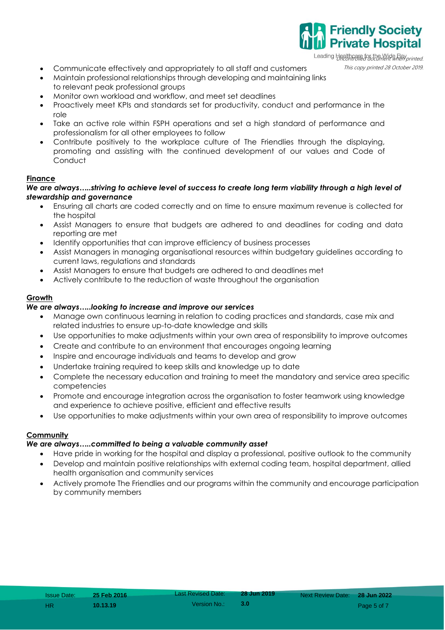Leading Healthcare for the Wide Bay

**Friendly Society Private Hospital** 

- Communicate effectively and appropriately to all staff and customers This copy printed 28 October 2019.
- Maintain professional relationships through developing and maintaining links to relevant peak professional groups
- Monitor own workload and workflow, and meet set deadlines
- Proactively meet KPIs and standards set for productivity, conduct and performance in the role
- Take an active role within FSPH operations and set a high standard of performance and professionalism for all other employees to follow
- Contribute positively to the workplace culture of The Friendlies through the displaying, promoting and assisting with the continued development of our values and Code of **Conduct**

## **Finance**

#### *We are always…..striving to achieve level of success to create long term viability through a high level of stewardship and governance*

- Ensuring all charts are coded correctly and on time to ensure maximum revenue is collected for the hospital
- Assist Managers to ensure that budgets are adhered to and deadlines for coding and data reporting are met
- Identify opportunities that can improve efficiency of business processes
- Assist Managers in managing organisational resources within budgetary guidelines according to current laws, regulations and standards
- Assist Managers to ensure that budgets are adhered to and deadlines met
- Actively contribute to the reduction of waste throughout the organisation

## **Growth**

## *We are always…..looking to increase and improve our services*

- Manage own continuous learning in relation to coding practices and standards, case mix and related industries to ensure up-to-date knowledge and skills
- Use opportunities to make adjustments within your own area of responsibility to improve outcomes
- Create and contribute to an environment that encourages ongoing learning
- Inspire and encourage individuals and teams to develop and grow
- Undertake training required to keep skills and knowledge up to date
- Complete the necessary education and training to meet the mandatory and service area specific competencies
- Promote and encourage integration across the organisation to foster teamwork using knowledge and experience to achieve positive, efficient and effective results
- Use opportunities to make adjustments within your own area of responsibility to improve outcomes

#### **Community**

#### *We are always…..committed to being a valuable community asset*

- Have pride in working for the hospital and display a professional, positive outlook to the community
- Develop and maintain positive relationships with external coding team, hospital department, allied health organisation and community services
- Actively promote The Friendlies and our programs within the community and encourage participation by community members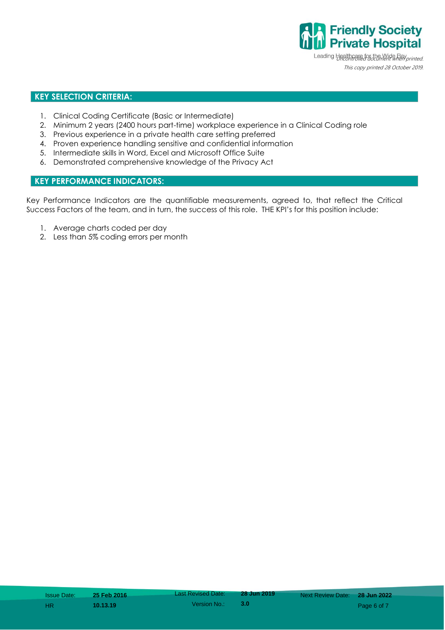**Private Hospital** Leading Healthcare for the Wide Bay printed. This copy printed 28 October 2019.

**Friendly Society** 

## **KEY SELECTION CRITERIA:**

- 1. Clinical Coding Certificate (Basic or Intermediate)
- 2. Minimum 2 years (2400 hours part-time) workplace experience in a Clinical Coding role
- 3. Previous experience in a private health care setting preferred
- 4. Proven experience handling sensitive and confidential information
- 5. Intermediate skills in Word, Excel and Microsoft Office Suite
- 6. Demonstrated comprehensive knowledge of the Privacy Act

## **KEY PERFORMANCE INDICATORS:**

Key Performance Indicators are the quantifiable measurements, agreed to, that reflect the Critical Success Factors of the team, and in turn, the success of this role. THE KPI's for this position include:

- 1. Average charts coded per day
- 2. Less than 5% coding errors per month